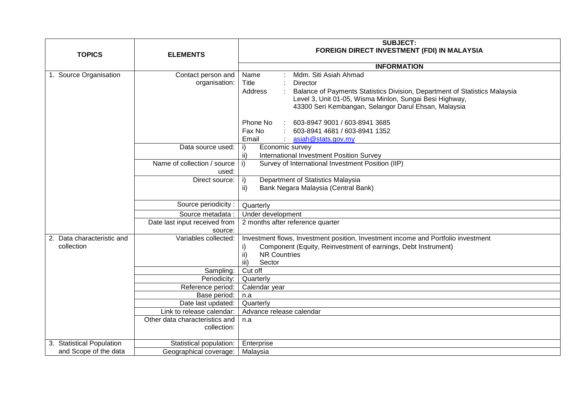|                                          |                                               | <b>SUBJECT:</b>                                                                                                                                                                                                                                                                                                                                                                              |
|------------------------------------------|-----------------------------------------------|----------------------------------------------------------------------------------------------------------------------------------------------------------------------------------------------------------------------------------------------------------------------------------------------------------------------------------------------------------------------------------------------|
| <b>TOPICS</b>                            | <b>ELEMENTS</b>                               | FOREIGN DIRECT INVESTMENT (FDI) IN MALAYSIA                                                                                                                                                                                                                                                                                                                                                  |
|                                          |                                               | <b>INFORMATION</b>                                                                                                                                                                                                                                                                                                                                                                           |
| 1. Source Organisation                   | Contact person and<br>organisation:           | Mdm. Siti Asiah Ahmad<br>Name<br>Title<br><b>Director</b><br>Balance of Payments Statistics Division, Department of Statistics Malaysia<br>Address<br>Level 3, Unit 01-05, Wisma Minlon, Sungai Besi Highway,<br>43300 Seri Kembangan, Selangor Darul Ehsan, Malaysia<br>603-8947 9001 / 603-8941 3685<br>Phone No<br>Fax No<br>603-8941 4681 / 603-8941 1352<br>Email<br>asiah@stats.gov.my |
|                                          | Data source used:                             | Economic survey<br>i)<br>ii)<br><b>International Investment Position Survey</b>                                                                                                                                                                                                                                                                                                              |
|                                          | Name of collection / source<br>used:          | Survey of International Investment Position (IIP)<br>i)                                                                                                                                                                                                                                                                                                                                      |
|                                          | Direct source:                                | Department of Statistics Malaysia<br>i)<br>ii)<br>Bank Negara Malaysia (Central Bank)                                                                                                                                                                                                                                                                                                        |
|                                          | Source periodicity:                           | Quarterly                                                                                                                                                                                                                                                                                                                                                                                    |
|                                          | Source metadata :                             | Under development                                                                                                                                                                                                                                                                                                                                                                            |
|                                          | Date last input received from<br>source:      | 2 months after reference quarter                                                                                                                                                                                                                                                                                                                                                             |
| 2. Data characteristic and<br>collection | Variables collected:                          | Investment flows, Investment position, Investment income and Portfolio investment<br>Component (Equity, Reinvestment of earnings, Debt Instrument)<br>i)<br><b>NR Countries</b><br>ii)<br>$\overline{iii}$<br>Sector                                                                                                                                                                         |
|                                          | Sampling:                                     | Cut off                                                                                                                                                                                                                                                                                                                                                                                      |
|                                          | Periodicity:                                  | Quarterly                                                                                                                                                                                                                                                                                                                                                                                    |
|                                          | Reference period:                             | Calendar year                                                                                                                                                                                                                                                                                                                                                                                |
|                                          | Base period:                                  | n.a                                                                                                                                                                                                                                                                                                                                                                                          |
|                                          | Date last updated:                            | Quarterly                                                                                                                                                                                                                                                                                                                                                                                    |
|                                          | Link to release calendar:                     | Advance release calendar                                                                                                                                                                                                                                                                                                                                                                     |
|                                          | Other data characteristics and<br>collection: | n.a                                                                                                                                                                                                                                                                                                                                                                                          |
| 3. Statistical Population                | Statistical population:                       | Enterprise                                                                                                                                                                                                                                                                                                                                                                                   |
| and Scope of the data                    | Geographical coverage:                        | Malaysia                                                                                                                                                                                                                                                                                                                                                                                     |